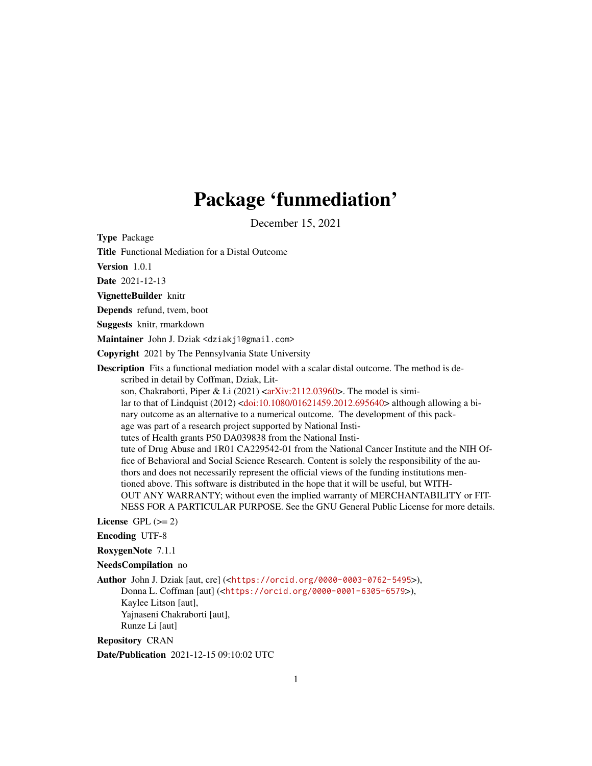## Package 'funmediation'

December 15, 2021

Type Package

Title Functional Mediation for a Distal Outcome

Version 1.0.1

Date 2021-12-13

VignetteBuilder knitr

Depends refund, tvem, boot

Suggests knitr, rmarkdown

Maintainer John J. Dziak <dziakj1@gmail.com>

Copyright 2021 by The Pennsylvania State University

Description Fits a functional mediation model with a scalar distal outcome. The method is described in detail by Coffman, Dziak, Lit-

son, Chakraborti, Piper & Li (2021) [<arXiv:2112.03960>](https://arxiv.org/abs/2112.03960). The model is simi-

lar to that of Lindquist (2012) [<doi:10.1080/01621459.2012.695640>](https://doi.org/10.1080/01621459.2012.695640) although allowing a binary outcome as an alternative to a numerical outcome. The development of this pack-

age was part of a research project supported by National Insti-

tutes of Health grants P50 DA039838 from the National Insti-

tute of Drug Abuse and 1R01 CA229542-01 from the National Cancer Institute and the NIH Office of Behavioral and Social Science Research. Content is solely the responsibility of the authors and does not necessarily represent the official views of the funding institutions mentioned above. This software is distributed in the hope that it will be useful, but WITH-OUT ANY WARRANTY; without even the implied warranty of MERCHANTABILITY or FIT-NESS FOR A PARTICULAR PURPOSE. See the GNU General Public License for more details.

License GPL  $(>= 2)$ 

Encoding UTF-8

RoxygenNote 7.1.1

NeedsCompilation no

Author John J. Dziak [aut, cre] (<<https://orcid.org/0000-0003-0762-5495>>), Donna L. Coffman [aut] (<<https://orcid.org/0000-0001-6305-6579>>), Kaylee Litson [aut], Yajnaseni Chakraborti [aut], Runze Li [aut]

Repository CRAN

Date/Publication 2021-12-15 09:10:02 UTC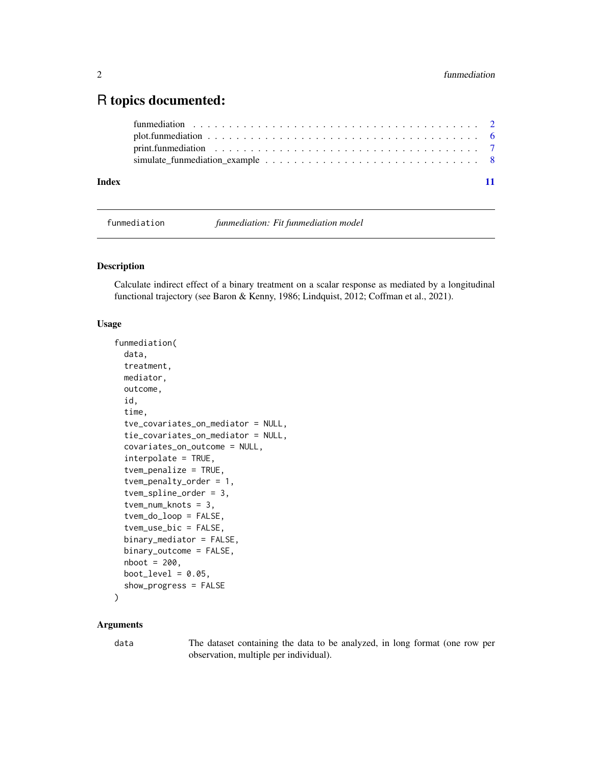### <span id="page-1-0"></span>R topics documented:

| Index | simulate funmediation example $\dots \dots \dots \dots \dots \dots \dots \dots \dots \dots \dots \dots$ |  |
|-------|---------------------------------------------------------------------------------------------------------|--|

funmediation *funmediation: Fit funmediation model*

#### Description

Calculate indirect effect of a binary treatment on a scalar response as mediated by a longitudinal functional trajectory (see Baron & Kenny, 1986; Lindquist, 2012; Coffman et al., 2021).

#### Usage

```
funmediation(
  data,
  treatment,
 mediator,
 outcome,
  id,
  time,
  tve_covariates_on_mediator = NULL,
  tie_covariates_on_mediator = NULL,
  covariates_on_outcome = NULL,
  interpolate = TRUE,
  tvem_penalize = TRUE,
  tvem_penalty_order = 1,
  tvem_spline_order = 3,
  tvem_num_knots = 3,
  tvem_do_loop = FALSE,
  tvem_use_bic = FALSE,
 binary_mediator = FALSE,
 binary_outcome = FALSE,
  nboot = 200,
 boot_level = 0.05,
  show_progress = FALSE
)
```
#### Arguments

data The dataset containing the data to be analyzed, in long format (one row per observation, multiple per individual).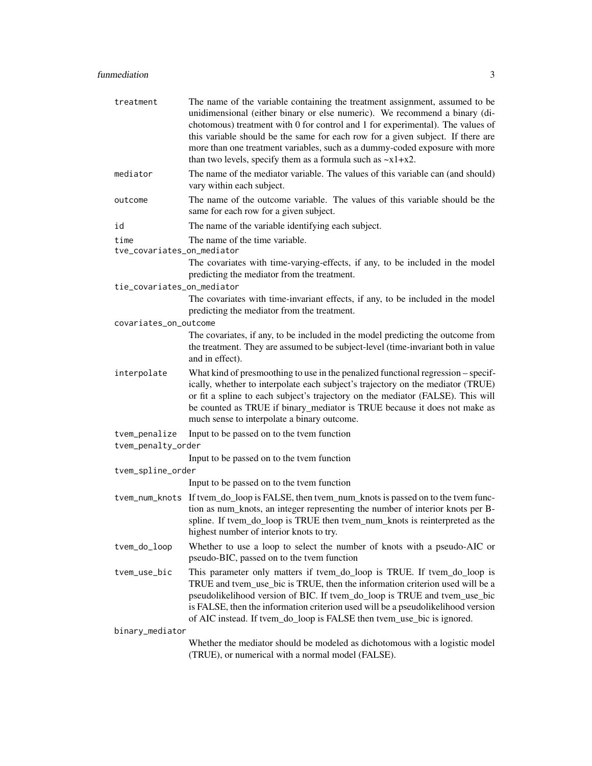| treatment                          | The name of the variable containing the treatment assignment, assumed to be<br>unidimensional (either binary or else numeric). We recommend a binary (di-<br>chotomous) treatment with 0 for control and 1 for experimental). The values of<br>this variable should be the same for each row for a given subject. If there are<br>more than one treatment variables, such as a dummy-coded exposure with more<br>than two levels, specify them as a formula such as $-x1+x2$ . |  |  |  |
|------------------------------------|--------------------------------------------------------------------------------------------------------------------------------------------------------------------------------------------------------------------------------------------------------------------------------------------------------------------------------------------------------------------------------------------------------------------------------------------------------------------------------|--|--|--|
| mediator                           | The name of the mediator variable. The values of this variable can (and should)<br>vary within each subject.                                                                                                                                                                                                                                                                                                                                                                   |  |  |  |
| outcome                            | The name of the outcome variable. The values of this variable should be the<br>same for each row for a given subject.                                                                                                                                                                                                                                                                                                                                                          |  |  |  |
| id                                 | The name of the variable identifying each subject.                                                                                                                                                                                                                                                                                                                                                                                                                             |  |  |  |
| time<br>tve_covariates_on_mediator | The name of the time variable.                                                                                                                                                                                                                                                                                                                                                                                                                                                 |  |  |  |
|                                    | The covariates with time-varying-effects, if any, to be included in the model<br>predicting the mediator from the treatment.                                                                                                                                                                                                                                                                                                                                                   |  |  |  |
| tie_covariates_on_mediator         |                                                                                                                                                                                                                                                                                                                                                                                                                                                                                |  |  |  |
|                                    | The covariates with time-invariant effects, if any, to be included in the model<br>predicting the mediator from the treatment.                                                                                                                                                                                                                                                                                                                                                 |  |  |  |
| covariates_on_outcome              |                                                                                                                                                                                                                                                                                                                                                                                                                                                                                |  |  |  |
|                                    | The covariates, if any, to be included in the model predicting the outcome from<br>the treatment. They are assumed to be subject-level (time-invariant both in value<br>and in effect).                                                                                                                                                                                                                                                                                        |  |  |  |
| interpolate                        | What kind of presmoothing to use in the penalized functional regression – specif-<br>ically, whether to interpolate each subject's trajectory on the mediator (TRUE)<br>or fit a spline to each subject's trajectory on the mediator (FALSE). This will<br>be counted as TRUE if binary_mediator is TRUE because it does not make as<br>much sense to interpolate a binary outcome.                                                                                            |  |  |  |
| tvem_penalize                      | Input to be passed on to the tvem function                                                                                                                                                                                                                                                                                                                                                                                                                                     |  |  |  |
| tvem_penalty_order                 |                                                                                                                                                                                                                                                                                                                                                                                                                                                                                |  |  |  |
|                                    | Input to be passed on to the tvem function                                                                                                                                                                                                                                                                                                                                                                                                                                     |  |  |  |
| tvem_spline_order                  |                                                                                                                                                                                                                                                                                                                                                                                                                                                                                |  |  |  |
|                                    | Input to be passed on to the tvem function                                                                                                                                                                                                                                                                                                                                                                                                                                     |  |  |  |
|                                    | tvem_num_knots If tvem_do_loop is FALSE, then tvem_num_knots is passed on to the tvem func-<br>tion as num_knots, an integer representing the number of interior knots per B-<br>spline. If tvem_do_loop is TRUE then tvem_num_knots is reinterpreted as the<br>highest number of interior knots to try.                                                                                                                                                                       |  |  |  |
| tvem_do_loop                       | Whether to use a loop to select the number of knots with a pseudo-AIC or<br>pseudo-BIC, passed on to the tvem function                                                                                                                                                                                                                                                                                                                                                         |  |  |  |
| tvem_use_bic                       | This parameter only matters if tvem_do_loop is TRUE. If tvem_do_loop is<br>TRUE and tvem_use_bic is TRUE, then the information criterion used will be a<br>pseudolikelihood version of BIC. If tvem_do_loop is TRUE and tvem_use_bic<br>is FALSE, then the information criterion used will be a pseudolikelihood version<br>of AIC instead. If tvem_do_loop is FALSE then tvem_use_bic is ignored.                                                                             |  |  |  |
| binary_mediator                    |                                                                                                                                                                                                                                                                                                                                                                                                                                                                                |  |  |  |
|                                    | Whether the mediator should be modeled as dichotomous with a logistic model<br>(TRUE), or numerical with a normal model (FALSE).                                                                                                                                                                                                                                                                                                                                               |  |  |  |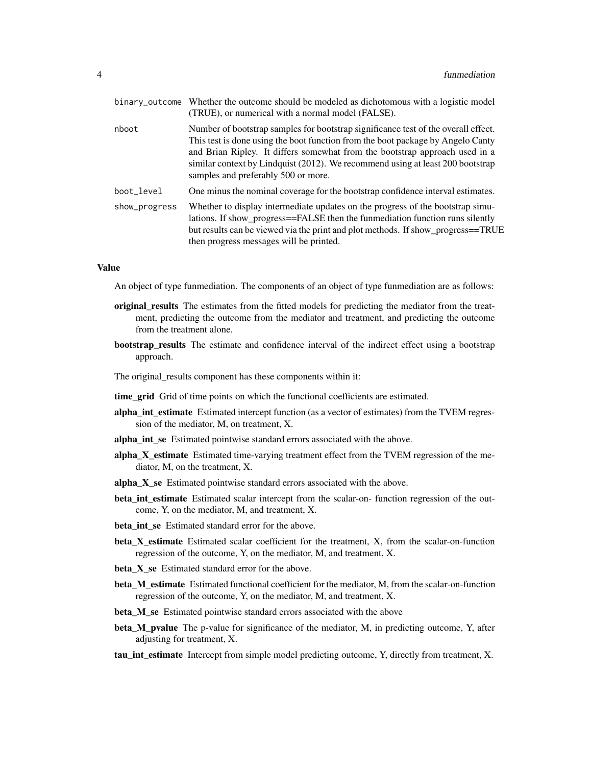|               | binary_outcome Whether the outcome should be modeled as dichotomous with a logistic model<br>(TRUE), or numerical with a normal model (FALSE).                                                                                                                                                                                                                                |
|---------------|-------------------------------------------------------------------------------------------------------------------------------------------------------------------------------------------------------------------------------------------------------------------------------------------------------------------------------------------------------------------------------|
| nboot         | Number of bootstrap samples for bootstrap significance test of the overall effect.<br>This test is done using the boot function from the boot package by Angelo Canty<br>and Brian Ripley. It differs somewhat from the bootstrap approach used in a<br>similar context by Lindquist (2012). We recommend using at least 200 bootstrap<br>samples and preferably 500 or more. |
| boot_level    | One minus the nominal coverage for the bootstrap confidence interval estimates.                                                                                                                                                                                                                                                                                               |
| show_progress | Whether to display intermediate updates on the progress of the bootstrap simu-<br>lations. If show_progress==FALSE then the funmediation function runs silently<br>but results can be viewed via the print and plot methods. If show_progress==TRUE<br>then progress messages will be printed.                                                                                |

#### Value

An object of type funmediation. The components of an object of type funmediation are as follows:

- original results The estimates from the fitted models for predicting the mediator from the treatment, predicting the outcome from the mediator and treatment, and predicting the outcome from the treatment alone.
- bootstrap\_results The estimate and confidence interval of the indirect effect using a bootstrap approach.

The original\_results component has these components within it:

- time\_grid Grid of time points on which the functional coefficients are estimated.
- alpha\_int\_estimate Estimated intercept function (as a vector of estimates) from the TVEM regression of the mediator, M, on treatment, X.
- alpha int se Estimated pointwise standard errors associated with the above.
- alpha\_X\_estimate Estimated time-varying treatment effect from the TVEM regression of the mediator, M, on the treatment, X.
- alpha\_X\_se Estimated pointwise standard errors associated with the above.
- beta\_int\_estimate Estimated scalar intercept from the scalar-on- function regression of the outcome, Y, on the mediator, M, and treatment, X.
- beta int se Estimated standard error for the above.
- beta\_X\_estimate Estimated scalar coefficient for the treatment, X, from the scalar-on-function regression of the outcome, Y, on the mediator, M, and treatment, X.
- beta\_X\_se Estimated standard error for the above.
- beta M estimate Estimated functional coefficient for the mediator, M, from the scalar-on-function regression of the outcome, Y, on the mediator, M, and treatment, X.
- beta\_M\_se Estimated pointwise standard errors associated with the above
- beta\_M\_pvalue The p-value for significance of the mediator, M, in predicting outcome, Y, after adjusting for treatment, X.
- tau\_int\_estimate Intercept from simple model predicting outcome, Y, directly from treatment, X.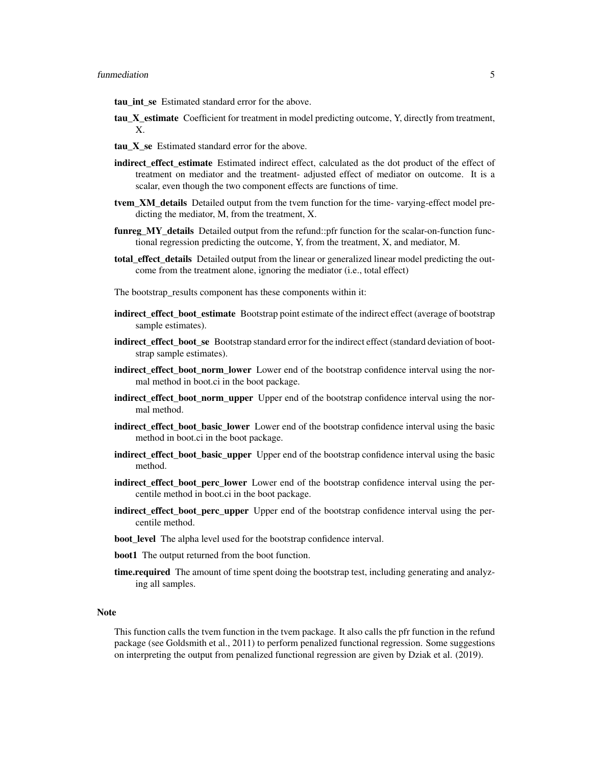- tau\_int\_se Estimated standard error for the above.
- tau X estimate Coefficient for treatment in model predicting outcome, Y, directly from treatment, X.
- tau\_X\_se Estimated standard error for the above.
- **indirect effect estimate** Estimated indirect effect, calculated as the dot product of the effect of treatment on mediator and the treatment- adjusted effect of mediator on outcome. It is a scalar, even though the two component effects are functions of time.
- tvem\_XM\_details Detailed output from the tvem function for the time- varying-effect model predicting the mediator, M, from the treatment, X.
- **funreg\_MY\_details** Detailed output from the refund::pfr function for the scalar-on-function functional regression predicting the outcome, Y, from the treatment, X, and mediator, M.
- total\_effect\_details Detailed output from the linear or generalized linear model predicting the outcome from the treatment alone, ignoring the mediator (i.e., total effect)
- The bootstrap\_results component has these components within it:
- indirect\_effect\_boot\_estimate Bootstrap point estimate of the indirect effect (average of bootstrap sample estimates).
- indirect\_effect\_boot\_se Bootstrap standard error for the indirect effect (standard deviation of bootstrap sample estimates).
- indirect\_effect\_boot\_norm\_lower Lower end of the bootstrap confidence interval using the normal method in boot.ci in the boot package.
- indirect\_effect\_boot\_norm\_upper Upper end of the bootstrap confidence interval using the normal method.
- indirect\_effect\_boot\_basic\_lower Lower end of the bootstrap confidence interval using the basic method in boot.ci in the boot package.
- indirect\_effect\_boot\_basic\_upper Upper end of the bootstrap confidence interval using the basic method.
- indirect\_effect\_boot\_perc\_lower Lower end of the bootstrap confidence interval using the percentile method in boot.ci in the boot package.
- indirect\_effect\_boot\_perc\_upper Upper end of the bootstrap confidence interval using the percentile method.
- **boot** level The alpha level used for the bootstrap confidence interval.
- boot1 The output returned from the boot function.
- **time.required** The amount of time spent doing the bootstrap test, including generating and analyzing all samples.

#### **Note**

This function calls the tvem function in the tvem package. It also calls the pfr function in the refund package (see Goldsmith et al., 2011) to perform penalized functional regression. Some suggestions on interpreting the output from penalized functional regression are given by Dziak et al. (2019).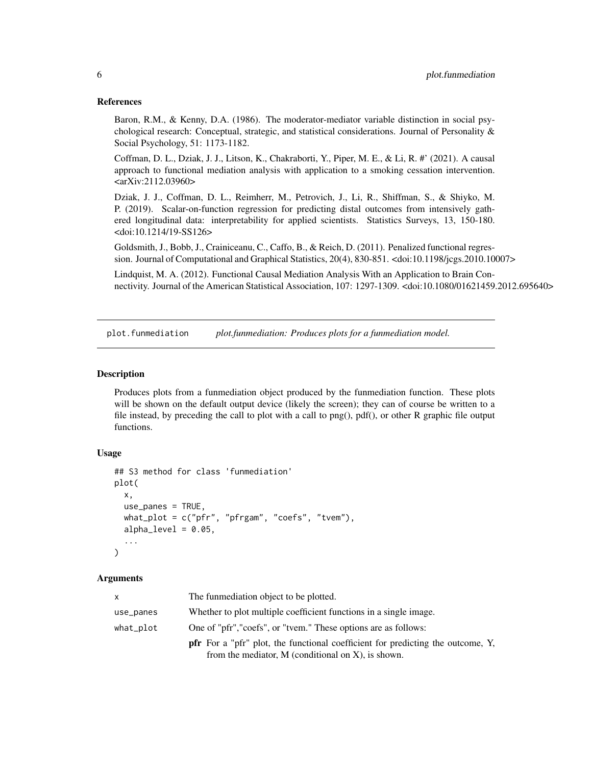#### <span id="page-5-0"></span>References

Baron, R.M., & Kenny, D.A. (1986). The moderator-mediator variable distinction in social psychological research: Conceptual, strategic, and statistical considerations. Journal of Personality & Social Psychology, 51: 1173-1182.

Coffman, D. L., Dziak, J. J., Litson, K., Chakraborti, Y., Piper, M. E., & Li, R. #' (2021). A causal approach to functional mediation analysis with application to a smoking cessation intervention. <arXiv:2112.03960>

Dziak, J. J., Coffman, D. L., Reimherr, M., Petrovich, J., Li, R., Shiffman, S., & Shiyko, M. P. (2019). Scalar-on-function regression for predicting distal outcomes from intensively gathered longitudinal data: interpretability for applied scientists. Statistics Surveys, 13, 150-180. <doi:10.1214/19-SS126>

Goldsmith, J., Bobb, J., Crainiceanu, C., Caffo, B., & Reich, D. (2011). Penalized functional regression. Journal of Computational and Graphical Statistics, 20(4), 830-851. <doi:10.1198/jcgs.2010.10007>

Lindquist, M. A. (2012). Functional Causal Mediation Analysis With an Application to Brain Connectivity. Journal of the American Statistical Association, 107: 1297-1309. <doi:10.1080/01621459.2012.695640>

plot.funmediation *plot.funmediation: Produces plots for a funmediation model.*

#### Description

Produces plots from a funmediation object produced by the funmediation function. These plots will be shown on the default output device (likely the screen); they can of course be written to a file instead, by preceding the call to plot with a call to png(), pdf(), or other R graphic file output functions.

#### Usage

```
## S3 method for class 'funmediation'
plot(
  x,
  use_panes = TRUE,
 what_plot = c("pfr", "pfrgam", "coefs", "tvem"),
  alpha\_level = 0.05,
  ...
)
```
#### Arguments

| x         | The funmediation object to be plotted.                                                                                                            |
|-----------|---------------------------------------------------------------------------------------------------------------------------------------------------|
| use_panes | Whether to plot multiple coefficient functions in a single image.                                                                                 |
| what_plot | One of "pfr", "coefs", or "tvem." These options are as follows:                                                                                   |
|           | <b>pfr</b> For a "pfr" plot, the functional coefficient for predicting the outcome, Y,<br>from the mediator, $M$ (conditional on $X$ ), is shown. |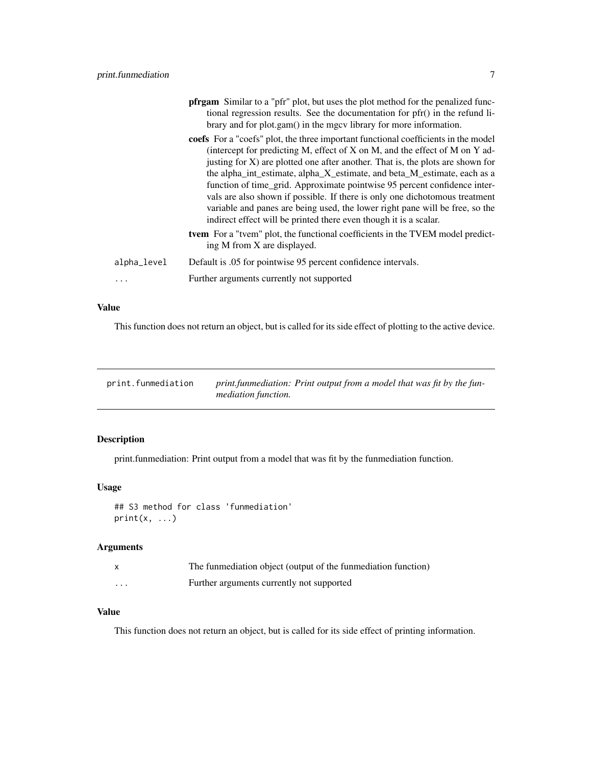<span id="page-6-0"></span>

|             | <b>pfrgam</b> Similar to a "pfr" plot, but uses the plot method for the penalized func-<br>tional regression results. See the documentation for pfr() in the refund li-<br>brary and for plot.gam() in the mgcv library for more information.                                                                                                                                                                                                                                                                                                                                                                                                       |
|-------------|-----------------------------------------------------------------------------------------------------------------------------------------------------------------------------------------------------------------------------------------------------------------------------------------------------------------------------------------------------------------------------------------------------------------------------------------------------------------------------------------------------------------------------------------------------------------------------------------------------------------------------------------------------|
|             | coefs For a "coefs" plot, the three important functional coefficients in the model<br>(intercept for predicting M, effect of X on M, and the effect of M on Y ad-<br>justing for $X$ ) are plotted one after another. That is, the plots are shown for<br>the alpha_int_estimate, alpha_X_estimate, and beta_M_estimate, each as a<br>function of time_grid. Approximate pointwise 95 percent confidence inter-<br>vals are also shown if possible. If there is only one dichotomous treatment<br>variable and panes are being used, the lower right pane will be free, so the<br>indirect effect will be printed there even though it is a scalar. |
|             | <b>tvem</b> For a "tvem" plot, the functional coefficients in the TVEM model predict-<br>ing M from X are displayed.                                                                                                                                                                                                                                                                                                                                                                                                                                                                                                                                |
| alpha_level | Default is .05 for pointwise 95 percent confidence intervals.                                                                                                                                                                                                                                                                                                                                                                                                                                                                                                                                                                                       |
| $\cdots$    | Further arguments currently not supported                                                                                                                                                                                                                                                                                                                                                                                                                                                                                                                                                                                                           |

#### Value

This function does not return an object, but is called for its side effect of plotting to the active device.

| print.funmediation | print funmediation: Print output from a model that was fit by the fun- |  |  |
|--------------------|------------------------------------------------------------------------|--|--|
|                    | mediation function.                                                    |  |  |

#### Description

print.funmediation: Print output from a model that was fit by the funmediation function.

#### Usage

## S3 method for class 'funmediation'  $print(x, \ldots)$ 

#### Arguments

|                   | The funmediation object (output of the funmediation function) |
|-------------------|---------------------------------------------------------------|
| $\cdot\cdot\cdot$ | Further arguments currently not supported                     |

#### Value

This function does not return an object, but is called for its side effect of printing information.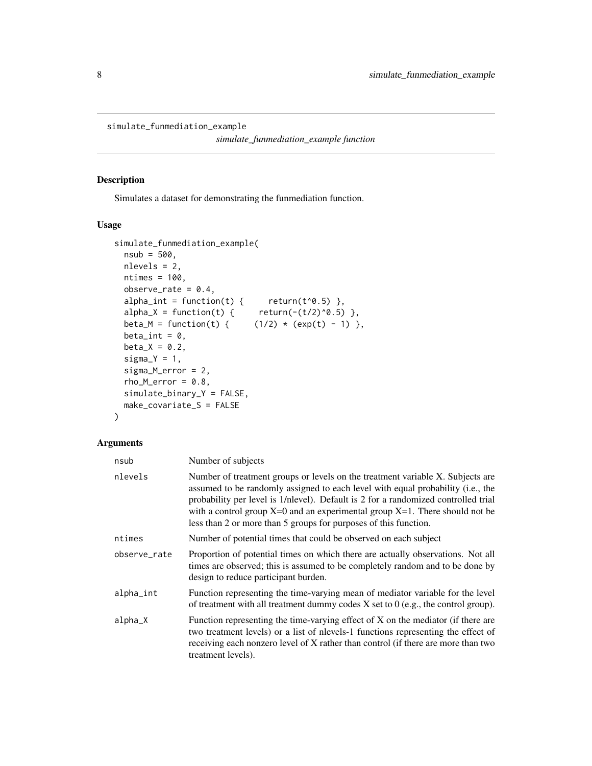<span id="page-7-0"></span>simulate\_funmediation\_example

*simulate\_funmediation\_example function*

#### Description

Simulates a dataset for demonstrating the funmediation function.

#### Usage

```
simulate_funmediation_example(
  nsub = 500,nlevels = 2,
 ntimes = 100,
  observe_rate = 0.4,
  alpha_int = function(t) { return(t^0.5) },
  alpha_X = function(t) {\text{ } (t') \text{ } (t'/2)^0.5},
  beta_M = function(t) { (1/2) * (exp(t) - 1) },
 beta_int = 0,
 beta_X = 0.2,
  signa_Y = 1,
  sigma_M_error = 2,
  rho_Merror = 0.8,
  simulate_binary_Y = FALSE,
 make_covariate_S = FALSE
\lambda
```
#### Arguments

| nsub         | Number of subjects                                                                                                                                                                                                                                                                                                                                                                                              |
|--------------|-----------------------------------------------------------------------------------------------------------------------------------------------------------------------------------------------------------------------------------------------------------------------------------------------------------------------------------------------------------------------------------------------------------------|
| nlevels      | Number of treatment groups or levels on the treatment variable X. Subjects are<br>assumed to be randomly assigned to each level with equal probability (i.e., the<br>probability per level is 1/nlevel). Default is 2 for a randomized controlled trial<br>with a control group $X=0$ and an experimental group $X=1$ . There should not be<br>less than 2 or more than 5 groups for purposes of this function. |
| ntimes       | Number of potential times that could be observed on each subject                                                                                                                                                                                                                                                                                                                                                |
| observe_rate | Proportion of potential times on which there are actually observations. Not all<br>times are observed; this is assumed to be completely random and to be done by<br>design to reduce participant burden.                                                                                                                                                                                                        |
| alpha_int    | Function representing the time-varying mean of mediator variable for the level<br>of treatment with all treatment dummy codes $X$ set to $0$ (e.g., the control group).                                                                                                                                                                                                                                         |
| alpha_X      | Function representing the time-varying effect of X on the mediator (if there are<br>two treatment levels) or a list of nevels-1 functions representing the effect of<br>receiving each nonzero level of X rather than control (if there are more than two<br>treatment levels).                                                                                                                                 |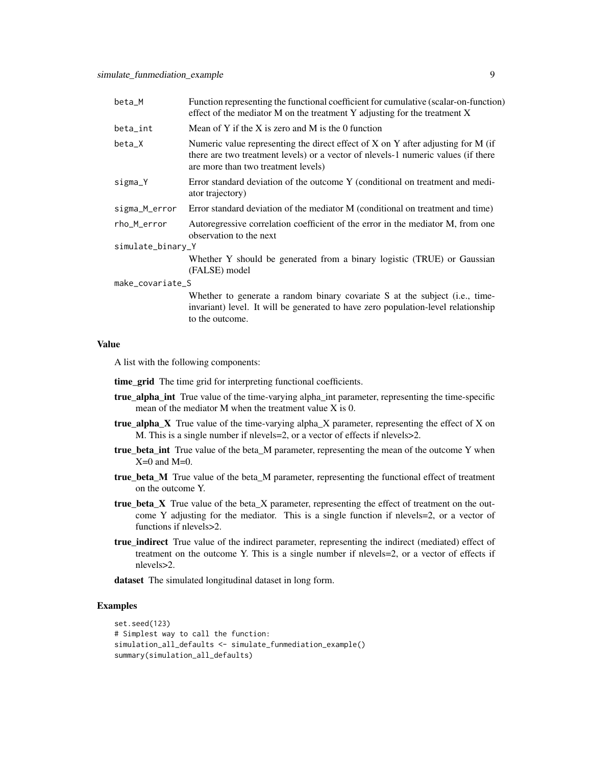| beta_M            | Function representing the functional coefficient for cumulative (scalar-on-function)<br>effect of the mediator M on the treatment Y adjusting for the treatment X                                                |
|-------------------|------------------------------------------------------------------------------------------------------------------------------------------------------------------------------------------------------------------|
| beta_int          | Mean of Y if the X is zero and M is the 0 function                                                                                                                                                               |
| beta_X            | Numeric value representing the direct effect of $X$ on $Y$ after adjusting for M (if<br>there are two treatment levels) or a vector of nlevels-1 numeric values (if there<br>are more than two treatment levels) |
| sigma_Y           | Error standard deviation of the outcome Y (conditional on treatment and medi-<br>ator trajectory)                                                                                                                |
| sigma_M_error     | Error standard deviation of the mediator M (conditional on treatment and time)                                                                                                                                   |
| rho_M_error       | Autoregressive correlation coefficient of the error in the mediator M, from one<br>observation to the next                                                                                                       |
| simulate_binary_Y |                                                                                                                                                                                                                  |
|                   | Whether Y should be generated from a binary logistic (TRUE) or Gaussian<br>(FALSE) model                                                                                                                         |
| make_covariate_S  |                                                                                                                                                                                                                  |
|                   | Whether to generate a random binary covariate S at the subject (i.e., time-<br>invariant) level. It will be generated to have zero population-level relationship                                                 |

#### Value

A list with the following components:

time\_grid The time grid for interpreting functional coefficients.

to the outcome.

- true\_alpha\_int True value of the time-varying alpha\_int parameter, representing the time-specific mean of the mediator M when the treatment value X is 0.
- true\_alpha\_X True value of the time-varying alpha\_X parameter, representing the effect of X on M. This is a single number if nlevels=2, or a vector of effects if nlevels>2.
- true\_beta\_int True value of the beta\_M parameter, representing the mean of the outcome Y when  $X=0$  and  $M=0$ .
- true\_beta\_M True value of the beta\_M parameter, representing the functional effect of treatment on the outcome Y.
- true\_beta\_X True value of the beta\_X parameter, representing the effect of treatment on the outcome Y adjusting for the mediator. This is a single function if nlevels=2, or a vector of functions if nlevels>2.
- true\_indirect True value of the indirect parameter, representing the indirect (mediated) effect of treatment on the outcome Y. This is a single number if nlevels=2, or a vector of effects if nlevels>2.

dataset The simulated longitudinal dataset in long form.

#### Examples

```
set.seed(123)
# Simplest way to call the function:
simulation_all_defaults <- simulate_funmediation_example()
summary(simulation_all_defaults)
```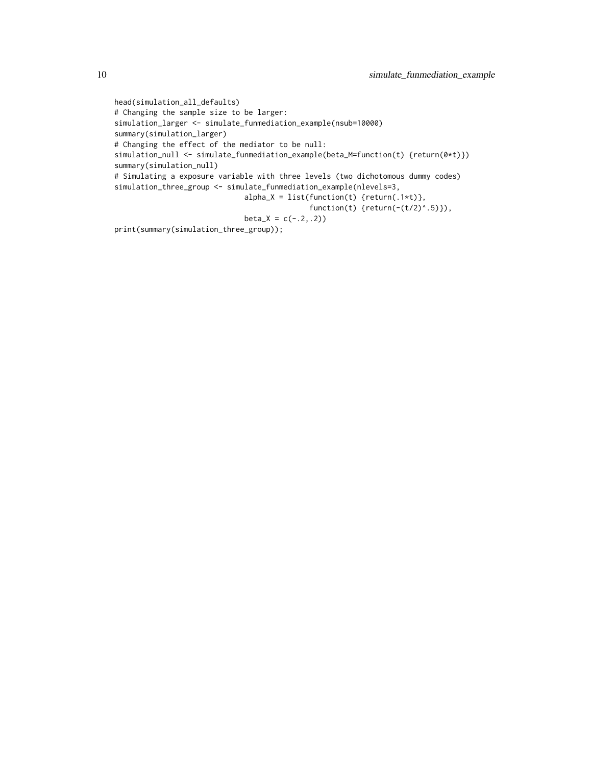```
head(simulation_all_defaults)
# Changing the sample size to be larger:
simulation_larger <- simulate_funmediation_example(nsub=10000)
summary(simulation_larger)
# Changing the effect of the mediator to be null:
simulation_null <- simulate_funmediation_example(beta_M=function(t) {return(0*t)})
summary(simulation_null)
# Simulating a exposure variable with three levels (two dichotomous dummy codes)
simulation_three_group <- simulate_funmediation_example(nlevels=3,
                              alpha_X = list(function(t) {return(.1*t)},function(t) \{return(-(t/2)^{n}.5)\},\beta_X = c(-.2,.2)print(summary(simulation_three_group));
```